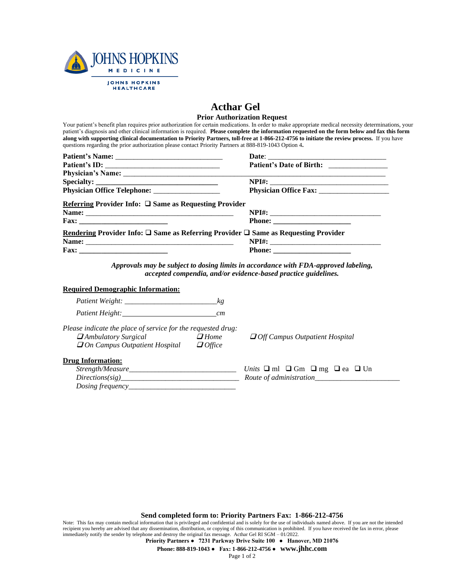

*Dosing frequency\_\_\_\_\_\_\_\_\_\_\_\_\_\_\_\_\_\_\_\_\_\_\_\_\_\_\_\_\_*

## **Acthar Gel**

## **Prior Authorization Request**

Your patient's benefit plan requires prior authorization for certain medications. In order to make appropriate medical necessity determinations, your patient's diagnosis and other clinical information is required. **Please complete the information requested on the form below and fax this form along with supporting clinical documentation to Priority Partners, toll-free at 1-866-212-4756 to initiate the review process.** If you have questions regarding the prior authorization please contact Priority Partners at 888-819-1043 Option 4**.**

| Referring Provider Info: $\square$ Same as Requesting Provider                                         |                                                                                                    |
|--------------------------------------------------------------------------------------------------------|----------------------------------------------------------------------------------------------------|
|                                                                                                        |                                                                                                    |
|                                                                                                        |                                                                                                    |
| Rendering Provider Info: $\square$ Same as Referring Provider $\square$ Same as Requesting Provider    |                                                                                                    |
|                                                                                                        |                                                                                                    |
| $\text{Fax:}\n\qquad \qquad \qquad \qquad \qquad \qquad \qquad$                                        |                                                                                                    |
| <b>Required Demographic Information:</b>                                                               |                                                                                                    |
|                                                                                                        |                                                                                                    |
|                                                                                                        |                                                                                                    |
|                                                                                                        |                                                                                                    |
|                                                                                                        |                                                                                                    |
| Please indicate the place of service for the requested drug:<br>$\Box$ Ambulatory Surgical $\Box$ Home | $\Box$ Off Campus Outpatient Hospital                                                              |
| $\Box$ On Campus Outpatient Hospital $\Box$ Office                                                     |                                                                                                    |
| <b>Drug Information:</b>                                                                               |                                                                                                    |
|                                                                                                        | Units $\Box$ ml $\Box$ Gm $\Box$ mg $\Box$ ea $\Box$ Un<br>Directions(sig) Route of administration |

**Send completed form to: Priority Partners Fax: 1-866-212-4756**

Note: This fax may contain medical information that is privileged and confidential and is solely for the use of individuals named above. If you are not the intended recipient you hereby are advised that any dissemination, distribution, or copying of this communication is prohibited. If you have received the fax in error, please immediately notify the sender by telephone and destroy the original fax message. Acthar Gel RI SGM – 01/2022.

**Priority Partners ● 7231 Parkway Drive Suite 100 ● Hanover, MD 21076**

**Phone: 888-819-1043 ● Fax: 1-866-212-4756 ● www.jhhc.com**